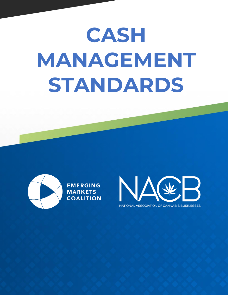# **CASH MANAGEMENT STANDARDS**



**EMERGING MARKETS COALITION** 

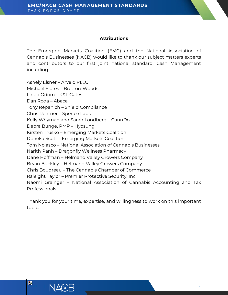#### **Attributions**

The Emerging Markets Coalition (EMC) and the National Association of Cannabis Businesses (NACB) would like to thank our subject matters experts and contributors to our first joint national standard, Cash Management including:

Ashely Elsner – Arvelo PLLC Michael Flores – Bretton-Woods Linda Odom – K&L Gates Dan Roda – Abaca Tony Repanich – Shield Compliance Chris Rentner – Spence Labs Kelly Whyman and Sarah Londberg – CannDo Debra Bunge, PMP – Hyosung Kirsten Trusko – Emerging Markets Coalition Deneka Scott – Emerging Markets Coalition Tom Nolasco – National Association of Cannabis Businesses Narith Panh – Dragonfly Wellness Pharmacy Dane Hoffman – Helmand Valley Growers Company Bryan Buckley – Helmand Valley Growers Company Chris Boudreau – The Cannabis Chamber of Commerce Raleight Taylor – Premier Protective Security, Inc. Naomi Grainger – National Association of Cannabis Accounting and Tax Professionals

Thank you for your time, expertise, and willingness to work on this important topic.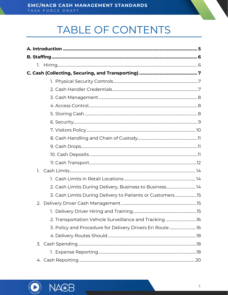# TABLE OF CONTENTS

| 1.                                                        |  |
|-----------------------------------------------------------|--|
|                                                           |  |
| 2. Cash Limits During Delivery, Business to Business 14   |  |
| 3. Cash Limits During Delivery to Patients or Customers15 |  |
| 2.                                                        |  |
|                                                           |  |
| 2. Transportation Vehicle Surveillance and Tracking16     |  |
| 3. Policy and Procedure for Delivery Drivers En Route 16  |  |
|                                                           |  |
|                                                           |  |
|                                                           |  |
|                                                           |  |

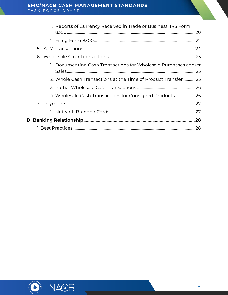| 1. Reports of Currency Received in Trade or Business: IRS Form  |     |
|-----------------------------------------------------------------|-----|
|                                                                 |     |
|                                                                 |     |
|                                                                 |     |
|                                                                 |     |
| 1. Documenting Cash Transactions for Wholesale Purchases and/or |     |
| 2. Whole Cash Transactions at the Time of Product Transfer 25   |     |
|                                                                 |     |
| 4. Wholesale Cash Transactions for Consigned Products26         |     |
|                                                                 |     |
|                                                                 |     |
|                                                                 |     |
|                                                                 | .28 |



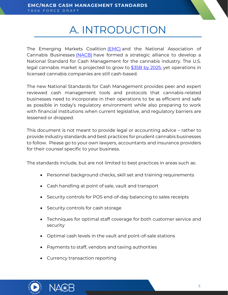# A. INTRODUCTION

<span id="page-4-0"></span>The Emerging Markets Coalition [\(EMC\)](https://emcoalition.org/) and the National Association of Cannabis Businesses [\(NACB\)](https://www.nacb.com/) have formed a strategic alliance to develop a National Standard for Cash Management for the cannabis industry. The U.S. legal cannabis market is projected to grow to [\\$35B by 2025,](https://www.globenewswire.com/news-release/2020/10/21/2111664/0/en/U-S-Legal-Cannabis-Market-to-Reach-35-Billion-by-2025.html) yet operations in licensed cannabis companies are still cash-based.

The new National Standards for Cash Management provides peer and expert reviewed cash management tools and protocols that cannabis-related businesses need to incorporate in their operations to be as efficient and safe as possible in today's regulatory environment while also preparing to work with financial institutions when current legislative, and regulatory barriers are lessened or dropped.

This document is not meant to provide legal or accounting advice – rather to provide industry standards and best practices for prudent cannabis businesses to follow. Please go to your own lawyers, accountants and insurance providers for their counsel specific to your business.

The standards include, but are not limited to best practices in areas such as:

- Personnel background checks, skill set and training requirements
- Cash handling at point of sale, vault and transport
- Security controls for POS end-of-day balancing to sales receipts
- Security controls for cash storage
- Techniques for optimal staff coverage for both customer service and security
- Optimal cash levels in the vault and point-of-sale stations
- Payments to staff, vendors and taxing authorities
- Currency transaction reporting



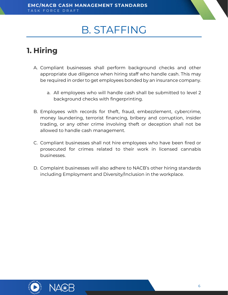# B. STAFFING

# <span id="page-5-1"></span><span id="page-5-0"></span>**1. Hiring**

- A. Compliant businesses shall perform background checks and other appropriate due diligence when hiring staff who handle cash. This may be required in order to get employees bonded by an insurance company.
	- a. All employees who will handle cash shall be submitted to level 2 background checks with fingerprinting.
- B. Employees with records for theft, fraud, embezzlement, cybercrime, money laundering, terrorist financing, bribery and corruption, insider trading, or any other crime involving theft or deception shall not be allowed to handle cash management.
- C. Compliant businesses shall not hire employees who have been fired or prosecuted for crimes related to their work in licensed cannabis businesses.
- D. Complaint businesses will also adhere to NACB's other hiring standards including Employment and Diversity/Inclusion in the workplace.



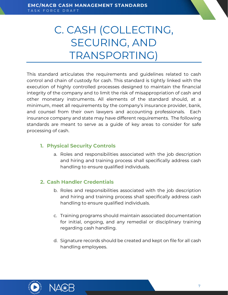# <span id="page-6-0"></span>C. CASH (COLLECTING, SECURING, AND TRANSPORTING)

This standard articulates the requirements and guidelines related to cash control and chain of custody for cash. This standard is tightly linked with the execution of highly controlled processes designed to maintain the financial integrity of the company and to limit the risk of misappropriation of cash and other monetary instruments. All elements of the standard should, at a minimum, meet all requirements by the company's insurance provider, bank, and counsel from their own lawyers and accounting professionals. Each insurance company and state may have different requirements. The following standards are meant to serve as a guide of key areas to consider for safe processing of cash.

#### <span id="page-6-1"></span>**1. Physical Security Controls**

a. Roles and responsibilities associated with the job description and hiring and training process shall specifically address cash handling to ensure qualified individuals.

#### <span id="page-6-2"></span>**2. Cash Handler Credentials**

- b. Roles and responsibilities associated with the job description and hiring and training process shall specifically address cash handling to ensure qualified individuals.
- c. Training programs should maintain associated documentation for initial, ongoing, and any remedial or disciplinary training regarding cash handling.
- d. Signature records should be created and kept on file for all cash handling employees.



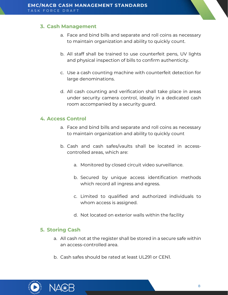#### <span id="page-7-0"></span>**3. Cash Management**

- a. Face and bind bills and separate and roll coins as necessary to maintain organization and ability to quickly count.
- b. All staff shall be trained to use counterfeit pens, UV lights and physical inspection of bills to confirm authenticity.
- c. Use a cash counting machine with counterfeit detection for large denominations.
- d. All cash counting and verification shall take place in areas under security camera control, ideally in a dedicated cash room accompanied by a security guard.

#### <span id="page-7-1"></span>**4. Access Control**

- a. Face and bind bills and separate and roll coins as necessary to maintain organization and ability to quickly count
- b. Cash and cash safes/vaults shall be located in accesscontrolled areas, which are:
	- a. Monitored by closed circuit video surveillance.
	- b. Secured by unique access identification methods which record all ingress and egress.
	- c. Limited to qualified and authorized individuals to whom access is assigned.
	- d. Not located on exterior walls within the facility

#### <span id="page-7-2"></span>**5. Storing Cash**

- a. All cash not at the register shall be stored in a secure safe within an access-controlled area.
- b. Cash safes should be rated at least UL291 or CEN1.



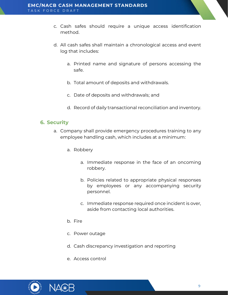- c. Cash safes should require a unique access identification method.
- d. All cash safes shall maintain a chronological access and event log that includes:
	- a. Printed name and signature of persons accessing the safe.
	- b. Total amount of deposits and withdrawals.
	- c. Date of deposits and withdrawals; and
	- d. Record of daily transactional reconciliation and inventory.

#### <span id="page-8-0"></span>**6. Security**

- a. Company shall provide emergency procedures training to any employee handling cash, which includes at a minimum:
	- a. Robbery
		- a. Immediate response in the face of an oncoming robbery.
		- b. Policies related to appropriate physical responses by employees or any accompanying security personnel.
		- c. Immediate response required once incident is over, aside from contacting local authorities.
	- b. Fire
	- c. Power outage
	- d. Cash discrepancy investigation and reporting
	- e. Access control

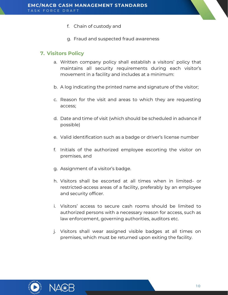- f. Chain of custody and
- g. Fraud and suspected fraud awareness

#### <span id="page-9-0"></span>**7. Visitors Policy**

- a. Written company policy shall establish a visitors' policy that maintains all security requirements during each visitor's movement in a facility and includes at a minimum:
- b. A log indicating the printed name and signature of the visitor;
- c. Reason for the visit and areas to which they are requesting access;
- d. Date and time of visit (which should be scheduled in advance if possible)
- e. Valid identification such as a badge or driver's license number
- f. Initials of the authorized employee escorting the visitor on premises, and
- g. Assignment of a visitor's badge.
- h. Visitors shall be escorted at all times when in limited- or restricted-access areas of a facility, preferably by an employee and security officer.
- i. Visitors' access to secure cash rooms should be limited to authorized persons with a necessary reason for access, such as law enforcement, governing authorities, auditors etc.
- j. Visitors shall wear assigned visible badges at all times on premises, which must be returned upon exiting the facility.



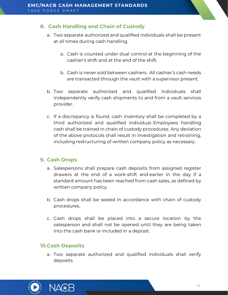#### <span id="page-10-0"></span>**8. Cash Handling and Chain of Custody**

- a. Two separate authorized and qualified individuals shall be present at all times during cash handling.
	- a. Cash is counted under dual control at the beginning of the cashier's shift and at the end of the shift.
	- b. Cash is never sold between cashiers. All cashier's cash needs are transacted through the vault with a supervisor present.
- b. Two separate authorized and qualified individuals shall independently verify cash shipments to and from a vault services provider.
- c. If a discrepancy is found, cash inventory shall be completed by a third authorized and qualified individual. Employees handling cash shall be trained in chain of custody procedures. Any deviation of the above protocols shall result in investigation and retraining, including restructuring of written company policy as necessary.

#### <span id="page-10-1"></span>**9. Cash Drops**

- a. Salespersons shall prepare cash deposits from assigned register drawers at the end of a work-shift and earlier in the day if a standard amount has been reached from cash sales, as defined by written company policy.
- b. Cash drops shall be sealed in accordance with chain of custody procedures.
- c. Cash drops shall be placed into a secure location by the salesperson and shall not be opened until they are being taken into the cash bank or included in a deposit.

#### <span id="page-10-2"></span>**10.Cash Deposits**

a. Two separate authorized and qualified individuals shall verify deposits.



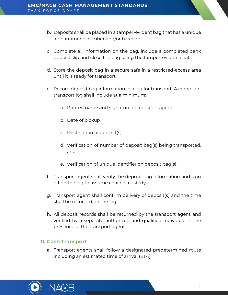- b. Deposits shall be placed in a tamper-evident bag that has a unique alphanumeric number and/or barcode.
- c. Complete all information on the bag, include a completed bank deposit slip and close the bag using the tamper-evident seal.
- d. Store the deposit bag in a secure safe in a restricted-access area until it is ready for transport.
- e. Record deposit bag information in a log for transport. A compliant transport log shall include at a minimum:
	- a. Printed name and signature of transport agent
	- b. Date of pickup
	- c. Destination of deposit(s)
	- d. Verification of number of deposit bag(s) being transported, and
	- e. Verification of unique identifier on deposit bag(s).
- f. Transport agent shall verify the deposit bag information and sign off on the log to assume chain of custody
- g. Transport agent shall confirm delivery of deposit(s) and the time shall be recorded on the log
- h. All deposit records shall be returned by the transport agent and verified by a separate authorized and qualified individual in the presence of the transport agent

#### <span id="page-11-0"></span>**11. Cash Transport**

a. Transport agents shall follow a designated predetermined route including an estimated time of arrival (ETA).



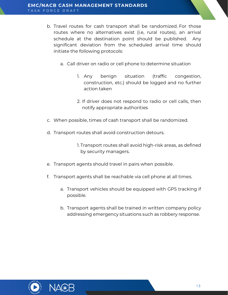- b. Travel routes for cash transport shall be randomized. For those routes where no alternatives exist (i.e, rural routes), an arrival schedule at the destination point should be published. Any significant deviation from the scheduled arrival time should initiate the following protocols:
	- a. Call driver on radio or cell phone to determine situation
		- 1. Any benign situation (traffic congestion, construction, etc.) should be logged and no further action taken
		- 2. If driver does not respond to radio or cell calls, then notify appropriate authorities
- c. When possible, times of cash transport shall be randomized.
- d. Transport routes shall avoid construction detours.
	- 1. Transport routes shall avoid high-risk areas, as defined by security managers.
- e. Transport agents should travel in pairs when possible.
- f. Transport agents shall be reachable via cell phone at all times.
	- a. Transport vehicles should be equipped with GPS tracking if possible.
	- b. Transport agents shall be trained in written company policy addressing emergency situations such as robbery response.



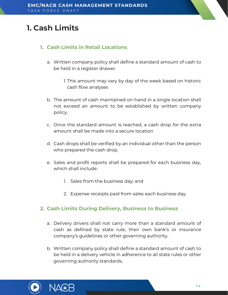# <span id="page-13-0"></span>**1. Cash Limits**

#### <span id="page-13-1"></span>**1. Cash Limits in Retail Locations**

a. Written company policy shall define a standard amount of cash to be held in a register drawer.

> 1. This amount may vary by day of the week based on historic cash flow analyses

- b. The amount of cash maintained on-hand in a single location shall not exceed an amount to be established by written company policy.
- c. Once the standard amount is reached, a cash drop for the extra amount shall be made into a secure location
- d. Cash drops shall be verified by an individual other than the person who prepared the cash drop.
- e. Sales and profit reports shall be prepared for each business day, which shall include:
	- 1. Sales from the business day; and
	- 2. Expense receipts paid from sales each business day.

#### <span id="page-13-2"></span>**2. Cash Limits During Delivery, Business to Business**

- a. Delivery drivers shall not carry more than a standard amount of cash as defined by state rule, their own bank's or insurance company's guidelines or other governing authority.
- b. Written company policy shall define a standard amount of cash to be held in a delivery vehicle in adherence to all state rules or other governing authority standards.



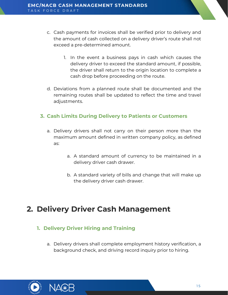- c. Cash payments for invoices shall be verified prior to delivery and the amount of cash collected on a delivery driver's route shall not exceed a pre-determined amount.
	- 1. In the event a business pays in cash which causes the delivery driver to exceed the standard amount, if possible, the driver shall return to the origin location to complete a cash drop before proceeding on the route.
- d. Deviations from a planned route shall be documented and the remaining routes shall be updated to reflect the time and travel adjustments.

#### <span id="page-14-0"></span>**3. Cash Limits During Delivery to Patients or Customers**

- a. Delivery drivers shall not carry on their person more than the maximum amount defined in written company policy, as defined as:
	- a. A standard amount of currency to be maintained in a delivery driver cash drawer.
	- b. A standard variety of bills and change that will make up the delivery driver cash drawer.

### <span id="page-14-1"></span>**2. Delivery Driver Cash Management**

#### <span id="page-14-2"></span>**1. Delivery Driver Hiring and Training**

a. Delivery drivers shall complete employment history verification, a background check, and driving record inquiry prior to hiring.



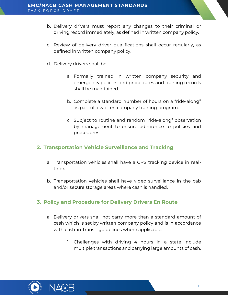- b. Delivery drivers must report any changes to their criminal or driving record immediately, as defined in written company policy.
- c. Review of delivery driver qualifications shall occur regularly, as defined in written company policy.
- d. Delivery drivers shall be:
	- a. Formally trained in written company security and emergency policies and procedures and training records shall be maintained.
	- b. Complete a standard number of hours on a "ride-along" as part of a written company training program.
	- c. Subject to routine and random "ride-along" observation by management to ensure adherence to policies and procedures.

#### <span id="page-15-0"></span>**2. Transportation Vehicle Surveillance and Tracking**

- a. Transportation vehicles shall have a GPS tracking device in realtime.
- b. Transportation vehicles shall have video surveillance in the cab and/or secure storage areas where cash is handled.

#### <span id="page-15-1"></span>**3. Policy and Procedure for Delivery Drivers En Route**

- a. Delivery drivers shall not carry more than a standard amount of cash which is set by written company policy and is in accordance with cash-in-transit guidelines where applicable.
	- 1. Challenges with driving 4 hours in a state include multiple transactions and carrying large amounts of cash.



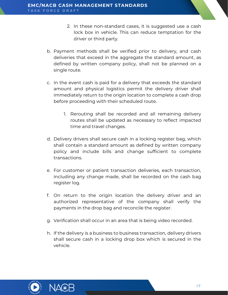- 2. In these non-standard cases, it is suggested use a cash lock box in vehicle. This can reduce temptation for the driver or third party.
- b. Payment methods shall be verified prior to delivery, and cash deliveries that exceed in the aggregate the standard amount, as defined by written company policy, shall not be planned on a single route.
- c. In the event cash is paid for a delivery that exceeds the standard amount and physical logistics permit the delivery driver shall immediately return to the origin location to complete a cash drop before proceeding with their scheduled route.
	- 1. Rerouting shall be recorded and all remaining delivery routes shall be updated as necessary to reflect impacted time and travel changes.
- d. Delivery drivers shall secure cash in a locking register bag, which shall contain a standard amount as defined by written company policy and include bills and change sufficient to complete transactions.
- e. For customer or patient transaction deliveries, each transaction, including any change made, shall be recorded on the cash bag register log.
- f. On return to the origin location the delivery driver and an authorized representative of the company shall verify the payments in the drop bag and reconcile the register.
- g. Verification shall occur in an area that is being video recorded.
- h. If the delivery is a business to business transaction, delivery drivers shall secure cash in a locking drop box which is secured in the vehicle.



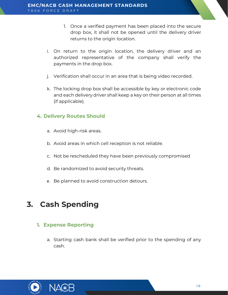- 1. Once a verified payment has been placed into the secure drop box, it shall not be opened until the delivery driver returns to the origin location.
- i. On return to the origin location, the delivery driver and an authorized representative of the company shall verify the payments in the drop box.
- j. Verification shall occur in an area that is being video recorded.
- k. The locking drop box shall be accessible by key or electronic code and each delivery driver shall keep a key on their person at all times (if applicable).

#### <span id="page-17-0"></span>**4. Delivery Routes Should**

- a. Avoid high-risk areas.
- b. Avoid areas in which cell reception is not reliable.
- c. Not be rescheduled they have been previously compromised
- d. Be randomized to avoid security threats.
- e. Be planned to avoid construction detours.

# <span id="page-17-1"></span>**3. Cash Spending**

#### <span id="page-17-2"></span>**1. Expense Reporting**

a. Starting cash bank shall be verified prior to the spending of any cash.



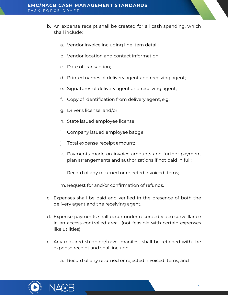- b. An expense receipt shall be created for all cash spending, which shall include:
	- a. Vendor invoice including line item detail;
	- b. Vendor location and contact information;
	- c. Date of transaction;
	- d. Printed names of delivery agent and receiving agent;
	- e. Signatures of delivery agent and receiving agent;
	- f. Copy of identification from delivery agent, e.g.
	- g. Driver's license; and/or
	- h. State issued employee license;
	- i. Company issued employee badge
	- j. Total expense receipt amount;
	- k. Payments made on invoice amounts and further payment plan arrangements and authorizations if not paid in full;
	- l. Record of any returned or rejected invoiced items;

m. Request for and/or confirmation of refunds.

- c. Expenses shall be paid and verified in the presence of both the delivery agent and the receiving agent.
- d. Expense payments shall occur under recorded video surveillance in an access-controlled area. (not feasible with certain expenses like utilities)
- e. Any required shipping/travel manifest shall be retained with the expense receipt and shall include:
	- a. Record of any returned or rejected invoiced items, and



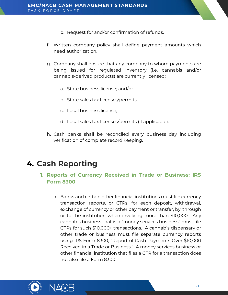- b. Request for and/or confirmation of refunds.
- f. Written company policy shall define payment amounts which need authorization.
- g. Company shall ensure that any company to whom payments are being issued for regulated inventory (i.e. cannabis and/or cannabis-derived products) are currently licensed:
	- a. State business license; and/or
	- b. State sales tax licenses/permits;
	- c. Local business license;
	- d. Local sales tax licenses/permits (if applicable).
- h. Cash banks shall be reconciled every business day including verification of complete record keeping.

### <span id="page-19-1"></span><span id="page-19-0"></span>**4. Cash Reporting**

#### **1. Reports of Currency Received in Trade or Business: IRS Form 8300**

a. Banks and certain other financial institutions must file currency transaction reports, or CTRs, for each deposit, withdrawal, exchange of currency or other payment or transfer, by, through or to the institution when involving more than \$10,000. Any cannabis business that is a "money services business" must file CTRs for such \$10,000+ transactions. A cannabis dispensary or other trade or business must file separate currency reports using IRS Form 8300, "Report of Cash Payments Over \$10,000 Received in a Trade or Business." A money services business or other financial institution that files a CTR for a transaction does not also file a Form 8300.



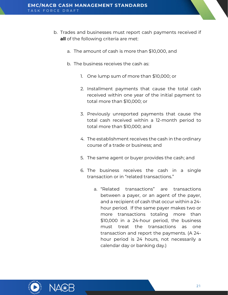- b. Trades and businesses must report cash payments received if **all** of the following criteria are met:
	- a. The amount of cash is more than \$10,000, and
	- b. The business receives the cash as:
		- 1. One lump sum of more than \$10,000; or
		- 2. Installment payments that cause the total cash received within one year of the initial payment to total more than \$10,000; or
		- 3. Previously unreported payments that cause the total cash received within a 12-month period to total more than \$10,000; and
		- 4. The establishment receives the cash in the ordinary course of a trade or business; and
		- 5. The same agent or buyer provides the cash; and
		- 6. The business receives the cash in a single transaction or in "related transactions."
			- a. "Related transactions" are transactions between a payer, or an agent of the payer, and a recipient of cash that occur within a 24 hour period. If the same payer makes two or more transactions totaling more than \$10,000 in a 24-hour period, the business must treat the transactions as one transaction and report the payments. (A 24 hour period is 24 hours, not necessarily a calendar day or banking day.)



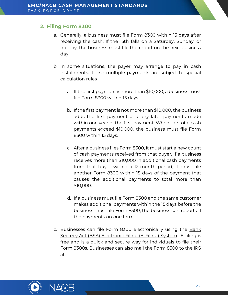#### <span id="page-21-0"></span>**2. Filing Form 8300**

- a. Generally, a business must file Form 8300 within 15 days after receiving the cash. If the 15th falls on a Saturday, Sunday, or holiday, the business must file the report on the next business day.
- b. In some situations, the payer may arrange to pay in cash installments. These multiple payments are subject to special calculation rules
	- a. If the first payment is more than \$10,000, a business must file Form 8300 within 15 days.
	- b. If the first payment is not more than \$10,000, the business adds the first payment and any later payments made within one year of the first payment. When the total cash payments exceed \$10,000, the business must file Form 8300 within 15 days.
	- c. After a business files Form 8300, it must start a new count of cash payments received from that buyer. If a business receives more than \$10,000 in additional cash payments from that buyer within a 12-month period, it must file another Form 8300 within 15 days of the payment that causes the additional payments to total more than \$10,000.
	- d. If a business must file Form 8300 and the same customer makes additional payments within the 15 days before the business must file Form 8300, the business can report all the payments on one form.
- c. Businesses can file Form 8300 electronically using the [Bank](https://bsaefiling.fincen.treas.gov/main.html)  [Secrecy Act \(BSA\) Electronic Filing \(E-Filing\) System.](https://bsaefiling.fincen.treas.gov/main.html) E-filing is free and is a quick and secure way for individuals to file their Form 8300s. Businesses can also mail the Form 8300 to the IRS at:



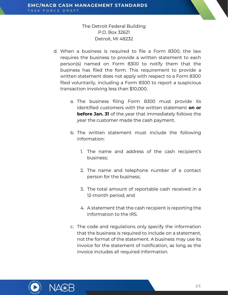#### The Detroit Federal Building P.O. Box 32621 Detroit, MI 48232

- d. When a business is required to file a Form 8300, the law requires the business to provide a written statement to each person(s) named on Form 8300 to notify them that the business has filed the form. This requirement to provide a written statement does not apply with respect to a Form 8300 filed voluntarily, including a Form 8300 to report a suspicious transaction involving less than \$10,000.
	- a. The business filing Form 8300 must provide its identified customers with the written statement **on or before Jan. 31** of the year that immediately follows the year the customer made the cash payment.
	- b. The written statement must include the following information:
		- 1. The name and address of the cash recipient's business;
		- 2. The name and telephone number of a contact person for the business;
		- 3. The total amount of reportable cash received in a 12-month period; and
		- 4. A statement that the cash recipient is reporting the information to the IRS.
	- c. The code and regulations only specify the information that the business is required to include on a statement, not the format of the statement. A business may use its invoice for the statement of notification, as long as the invoice includes all required information.



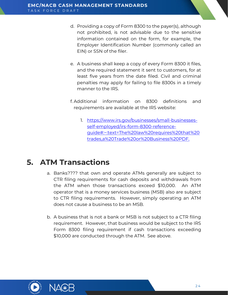- d. Providing a copy of Form 8300 to the payer(s), although not prohibited, is not advisable due to the sensitive information contained on the form, for example, the Employer Identification Number (commonly called an EIN) or SSN of the filer.
- e. A business shall keep a copy of every Form 8300 it files, and the required statement it sent to customers, for at least five years from the date filed. Civil and criminal penalties may apply for failing to file 8300s in a timely manner to the IRS.
- f. Additional information on 8300 definitions and requirements are available at the IRS website:
	- 1. [https://www.irs.gov/businesses/small-businesses](https://www.irs.gov/businesses/small-businesses-self-employed/irs-form-8300-reference-guide#:~:text=The%20law%20requires%20that%20trades,a%20Trade%20or%20Business%20PDF.)[self-employed/irs-form-8300-reference](https://www.irs.gov/businesses/small-businesses-self-employed/irs-form-8300-reference-guide#:~:text=The%20law%20requires%20that%20trades,a%20Trade%20or%20Business%20PDF.)[guide#:~:text=The%20law%20requires%20that%20](https://www.irs.gov/businesses/small-businesses-self-employed/irs-form-8300-reference-guide#:~:text=The%20law%20requires%20that%20trades,a%20Trade%20or%20Business%20PDF.) [trades,a%20Trade%20or%20Business%20PDF.](https://www.irs.gov/businesses/small-businesses-self-employed/irs-form-8300-reference-guide#:~:text=The%20law%20requires%20that%20trades,a%20Trade%20or%20Business%20PDF.)

### <span id="page-23-0"></span>**5. ATM Transactions**

- a. Banks???? that own and operate ATMs generally are subject to CTR filing requirements for cash deposits and withdrawals from the ATM when those transactions exceed \$10,000. An ATM operator that is a money services business (MSB) also are subject to CTR filing requirements. However, simply operating an ATM does not cause a business to be an MSB.
- b. A business that is not a bank or MSB is not subject to a CTR filing requirement. However, that business would be subject to the IRS Form 8300 filing requirement if cash transactions exceeding \$10,000 are conducted through the ATM. See above.



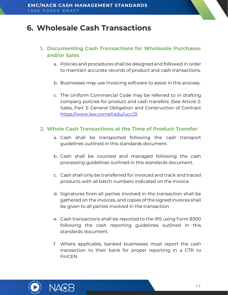### <span id="page-24-0"></span>**6. Wholesale Cash Transactions**

#### <span id="page-24-1"></span>**1. Documenting Cash Transactions for Wholesale Purchases and/or Sales**

- a. Policies and procedures shall be designed and followed in order to maintain accurate records of product and cash transactions.
- b. Businesses may use invoicing software to assist in this process.
- c. The Uniform Commercial Code may be referred to in drafting company policies for product and cash transfers. (See Article 2: Sales, Part 3: General Obligation and Construction of Contract [https://www.law.cornell.edu/ucc/2\)](https://www.law.cornell.edu/ucc/2)

#### <span id="page-24-2"></span>**2. Whole Cash Transactions at the Time of Product Transfer**

- a. Cash shall be transported following the cash transport guidelines outlined in this standards document.
- b. Cash shall be counted and managed following the cash processing guidelines outlined in this standards document.
- c. Cash shall only be transferred for invoiced and track and traced products with all batch numbers indicated on the invoice.
- d. Signatures from all parties involved in the transaction shall be gathered on the invoices, and copies of the signed invoices shall be given to all parties involved in the transaction
- e. Cash transactions shall be reported to the IRS using Form 8300 following the cash reporting guidelines outlined in this standards document.
- f. Where applicable, banked businesses must report the cash transaction to their bank for proper reporting in a CTR to FinCEN.



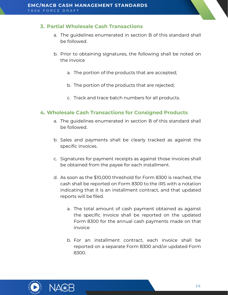#### <span id="page-25-0"></span>**3. Partial Wholesale Cash Transactions**

- a. The guidelines enumerated in section B of this standard shall be followed.
- b. Prior to obtaining signatures, the following shall be noted on the invoice
	- a. The portion of the products that are accepted;
	- b. The portion of the products that are rejected;
	- c. Track and trace batch numbers for all products.

#### <span id="page-25-1"></span>**4. Wholesale Cash Transactions for Consigned Products**

- a. The guidelines enumerated in section B of this standard shall be followed.
- b. Sales and payments shall be clearly tracked as against the specific invoices.
- c. Signatures for payment receipts as against those invoices shall be obtained from the payee for each installment.
- d. As soon as the \$10,000 threshold for Form 8300 is reached, the cash shall be reported on Form 8300 to the IRS with a notation indicating that it is an installment contract, and that updated reports will be filed.
	- a. The total amount of cash payment obtained as against the specific invoice shall be reported on the updated Form 8300 for the annual cash payments made on that invoice
	- b. For an installment contract, each invoice shall be reported on a separate Form 8300 and/or updated Form 8300.



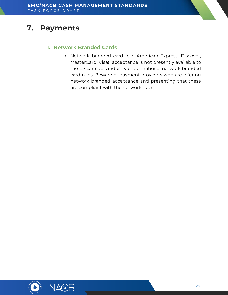# <span id="page-26-1"></span><span id="page-26-0"></span>**7. Payments**

#### **1. Network Branded Cards**

a. Network branded card (e.g, American Express, Discover, MasterCard, Visa) acceptance is not presently available to the US cannabis industry under national network branded card rules. Beware of payment providers who are offering network branded acceptance and presenting that these are compliant with the network rules.



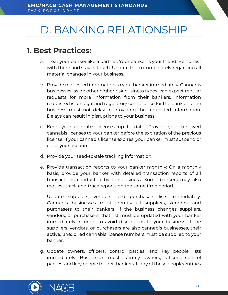# <span id="page-27-0"></span>D. BANKING RELATIONSHIP

### <span id="page-27-1"></span>**1. Best Practices:**

- a. Treat your banker like a partner: Your banker is your friend. Be honest with them and stay in touch. Update them immediately regarding all material changes in your business.
- b. Provide requested information to your banker immediately: Cannabis businesses, as do other higher risk business types, can expect regular requests for more information from their bankers. Information requested is for legal and regulatory compliance for the bank and the business must not delay in providing the requested information. Delays can result in disruptions to your business.
- c. Keep your cannabis licenses up to date: Provide your renewed cannabis licenses to your banker before the expiration of the previous license. If your cannabis license expires, your banker must suspend or close your account.
- d. Provide your seed-to-sale tracking information.
- e. Provide transaction reports to your banker monthly: On a monthly basis, provide your banker with detailed transaction reports of all transactions conducted by the business. Some bankers may also request track and trace reports on the same time period.
- f. Update suppliers, vendors, and purchasers lists immediately: Cannabis businesses must identify all suppliers, vendors, and purchasers to their bankers. If the business changes suppliers, vendors, or purchasers, that list must be updated with your banker immediately in order to avoid disruptions to your business. If the suppliers, vendors, or purchasers are also cannabis businesses, their active, unexpired cannabis license numbers must be supplied to your banker.
- g. Update owners, officers, control parties, and key people lists immediately: Businesses must identify owners, officers, control parties, and key people to their bankers. If any of these people/entities